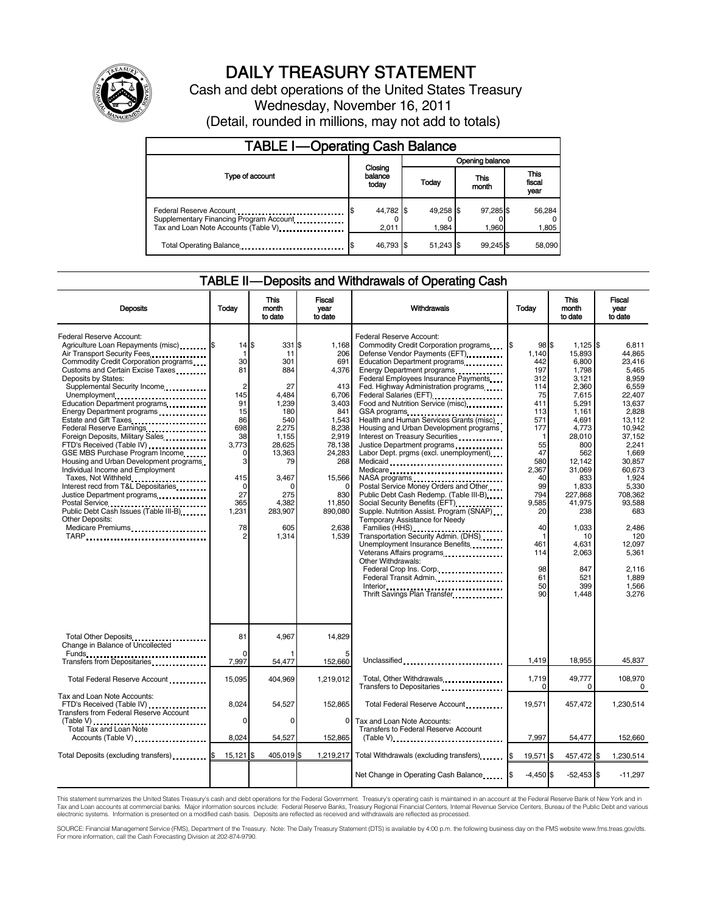

# DAILY TREASURY STATEMENT

Cash and debt operations of the United States Treasury Wednesday, November 16, 2011 (Detail, rounded in millions, may not add to totals)

| <b>TABLE I-Operating Cash Balance</b>                                                                      |                             |                    |  |                    |  |                    |  |                               |
|------------------------------------------------------------------------------------------------------------|-----------------------------|--------------------|--|--------------------|--|--------------------|--|-------------------------------|
|                                                                                                            |                             |                    |  | Opening balance    |  |                    |  |                               |
| Type of account                                                                                            | Closing<br>balance<br>today |                    |  | Today              |  | This<br>month      |  | <b>This</b><br>fiscal<br>year |
| Federal Reserve Account<br>Supplementary Financing Program Account<br>Tax and Loan Note Accounts (Table V) |                             | 44,782 \$<br>2.011 |  | 49,258 \$<br>1.984 |  | 97.285 \$<br>1.960 |  | 56,284<br>0<br>1,805          |
| Total Operating Balance                                                                                    |                             | 46,793 \$          |  | 51.243 \$          |  | 99.245 \$          |  | 58.090                        |

#### TABLE II — Deposits and Withdrawals of Operating Cash

| <b>Deposits</b>                                                                                                                                                                                                                                                                                                                                                                                                                                                                                                                                                                                                                                                                                                                                                                                      | Today                                                                                                                                                                   | This<br>month<br>to date                                                                                                                                              | Fiscal<br>vear<br>to date                                                                                                                                                              | Withdrawals                                                                                                                                                                                                                                                                                                                                                                                                                                                                                                                                                                                                                                                                                                                                                                                                                                                                                                                                                                         | Today                                                                                                                                                                                                                | <b>This</b><br>month<br>to date                                                                                                                                                                                                                             | Fiscal<br>vear<br>to date                                                                                                                                                                                                                                                  |
|------------------------------------------------------------------------------------------------------------------------------------------------------------------------------------------------------------------------------------------------------------------------------------------------------------------------------------------------------------------------------------------------------------------------------------------------------------------------------------------------------------------------------------------------------------------------------------------------------------------------------------------------------------------------------------------------------------------------------------------------------------------------------------------------------|-------------------------------------------------------------------------------------------------------------------------------------------------------------------------|-----------------------------------------------------------------------------------------------------------------------------------------------------------------------|----------------------------------------------------------------------------------------------------------------------------------------------------------------------------------------|-------------------------------------------------------------------------------------------------------------------------------------------------------------------------------------------------------------------------------------------------------------------------------------------------------------------------------------------------------------------------------------------------------------------------------------------------------------------------------------------------------------------------------------------------------------------------------------------------------------------------------------------------------------------------------------------------------------------------------------------------------------------------------------------------------------------------------------------------------------------------------------------------------------------------------------------------------------------------------------|----------------------------------------------------------------------------------------------------------------------------------------------------------------------------------------------------------------------|-------------------------------------------------------------------------------------------------------------------------------------------------------------------------------------------------------------------------------------------------------------|----------------------------------------------------------------------------------------------------------------------------------------------------------------------------------------------------------------------------------------------------------------------------|
| Federal Reserve Account:<br>Agriculture Loan Repayments (misc) \$<br>Air Transport Security Fees<br>Commodity Credit Corporation programs<br>Customs and Certain Excise Taxes<br>Deposits by States:<br>Supplemental Security Income<br>Unemployment<br>Education Department programs<br>Energy Department programs<br>Estate and Gift Taxes<br>Federal Reserve Earnings<br>Foreign Deposits, Military Sales<br>FTD's Received (Table IV)<br>GSE MBS Purchase Program Income<br>Housing and Urban Development programs<br>Individual Income and Employment<br>Taxes, Not Withheld<br>Interest recd from T&L Depositaries<br>Justice Department programs<br>Postal Service<br>Public Debt Cash Issues (Table III-B)<br>The Library of Table III-B)<br><b>Other Deposits:</b><br>Medicare Premiums<br> | $14$ $\frac{3}{5}$<br>1<br>30<br>81<br>$\overline{2}$<br>145<br>91<br>15<br>86<br>698<br>38<br>3,773<br>$\Omega$<br>3<br>415<br>$\mathbf 0$<br>27<br>365<br>1,231<br>78 | 331 \$<br>11<br>301<br>884<br>27<br>4,484<br>1,239<br>180<br>540<br>2,275<br>1.155<br>28,625<br>13,363<br>79<br>3.467<br>0<br>275<br>4,382<br>283,907<br>605<br>1,314 | 1.168<br>206<br>691<br>4,376<br>413<br>6,706<br>3,403<br>841<br>1,543<br>8,238<br>2.919<br>78,138<br>24,283<br>268<br>15,566<br>$\Omega$<br>830<br>11,850<br>890,080<br>2,638<br>1,539 | Federal Reserve Account:<br>Commodity Credit Corporation programs<br>Defense Vendor Payments (EFT)<br>Education Department programs<br>Energy Department programs<br>Federal Employees Insurance Payments<br>Fed. Highway Administration programs<br>Federal Salaries (EFT)<br>Food and Nutrition Service (misc)<br>GSA programs<br>Health and Human Services Grants (misc)<br>Housing and Urban Development programs<br>Interest on Treasury Securities<br>Justice Department programs<br>Labor Dept. prgms (excl. unemployment)<br>Medicaid<br>Medicare<br>NASA programs<br>Postal Service Money Orders and Other<br>Public Debt Cash Redemp. (Table III-B)<br>Social Security Benefits (EFT)<br>Supple. Nutrition Assist. Program (SNAP)<br>Temporary Assistance for Needy<br>Families (HHS)<br>Transportation Security Admin. (DHS)<br>Unemployment Insurance Benefits<br>Other Withdrawals:<br>Federal Crop Ins. Corp<br>Federal Transit Admin<br>Thrift Savings Plan Transfer | 98S<br>1.140<br>442<br>197<br>312<br>114<br>75<br>411<br>113<br>571<br>177<br>$\mathbf{1}$<br>55<br>47<br>580<br>2,367<br>40<br>99<br>794<br>9,585<br>20<br>40<br>$\mathbf{1}$<br>461<br>114<br>98<br>61<br>50<br>90 | $1.125$ S<br>15,893<br>6,800<br>1,798<br>3,121<br>2,360<br>7,615<br>5,291<br>1,161<br>4,691<br>4,773<br>28,010<br>800<br>562<br>12.142<br>31,069<br>833<br>1,833<br>227,868<br>41,975<br>238<br>1,033<br>10<br>4,631<br>2,063<br>847<br>521<br>399<br>1,448 | 6.811<br>44.865<br>23.416<br>5.465<br>8.959<br>6.559<br>22.407<br>13.637<br>2.828<br>13.112<br>10.942<br>37.152<br>2.241<br>1,669<br>30.857<br>60.673<br>1.924<br>5,330<br>708,362<br>93.588<br>683<br>2.486<br>120<br>12,097<br>5,361<br>2.116<br>1,889<br>1,566<br>3,276 |
| Total Other Deposits<br>Change in Balance of Uncollected                                                                                                                                                                                                                                                                                                                                                                                                                                                                                                                                                                                                                                                                                                                                             | 81<br>$\Omega$                                                                                                                                                          | 4,967                                                                                                                                                                 | 14,829                                                                                                                                                                                 |                                                                                                                                                                                                                                                                                                                                                                                                                                                                                                                                                                                                                                                                                                                                                                                                                                                                                                                                                                                     |                                                                                                                                                                                                                      |                                                                                                                                                                                                                                                             |                                                                                                                                                                                                                                                                            |
| Transfers from Depositaries                                                                                                                                                                                                                                                                                                                                                                                                                                                                                                                                                                                                                                                                                                                                                                          | 7,997                                                                                                                                                                   | 54,477                                                                                                                                                                | 152,660                                                                                                                                                                                | Unclassified                                                                                                                                                                                                                                                                                                                                                                                                                                                                                                                                                                                                                                                                                                                                                                                                                                                                                                                                                                        | 1,419                                                                                                                                                                                                                | 18,955                                                                                                                                                                                                                                                      | 45,837                                                                                                                                                                                                                                                                     |
| Total Federal Reserve Account                                                                                                                                                                                                                                                                                                                                                                                                                                                                                                                                                                                                                                                                                                                                                                        | 15,095                                                                                                                                                                  | 404,969                                                                                                                                                               | 1,219,012                                                                                                                                                                              | Total, Other Withdrawals                                                                                                                                                                                                                                                                                                                                                                                                                                                                                                                                                                                                                                                                                                                                                                                                                                                                                                                                                            | 1,719<br>$\Omega$                                                                                                                                                                                                    | 49,777<br>$\Omega$                                                                                                                                                                                                                                          | 108,970<br>0                                                                                                                                                                                                                                                               |
| Tax and Loan Note Accounts:<br>FTD's Received (Table IV)<br>Transfers from Federal Reserve Account                                                                                                                                                                                                                                                                                                                                                                                                                                                                                                                                                                                                                                                                                                   | 8,024                                                                                                                                                                   | 54,527                                                                                                                                                                | 152,865                                                                                                                                                                                | Total Federal Reserve Account                                                                                                                                                                                                                                                                                                                                                                                                                                                                                                                                                                                                                                                                                                                                                                                                                                                                                                                                                       | 19.571                                                                                                                                                                                                               | 457,472                                                                                                                                                                                                                                                     | 1,230,514                                                                                                                                                                                                                                                                  |
| (Table V)<br>Total Tax and Loan Note<br>Accounts (Table V)                                                                                                                                                                                                                                                                                                                                                                                                                                                                                                                                                                                                                                                                                                                                           | $\mathbf 0$<br>8,024                                                                                                                                                    | $\Omega$<br>54,527                                                                                                                                                    | 0<br>152,865                                                                                                                                                                           | Tax and Loan Note Accounts:<br>Transfers to Federal Reserve Account<br>$(Table V)$                                                                                                                                                                                                                                                                                                                                                                                                                                                                                                                                                                                                                                                                                                                                                                                                                                                                                                  | 7,997                                                                                                                                                                                                                | 54,477                                                                                                                                                                                                                                                      | 152,660                                                                                                                                                                                                                                                                    |
| Total Deposits (excluding transfers) <b>\$</b>                                                                                                                                                                                                                                                                                                                                                                                                                                                                                                                                                                                                                                                                                                                                                       | $15,121$ \$                                                                                                                                                             | 405,019 \$                                                                                                                                                            |                                                                                                                                                                                        | 1,219,217 Total Withdrawals (excluding transfers)                                                                                                                                                                                                                                                                                                                                                                                                                                                                                                                                                                                                                                                                                                                                                                                                                                                                                                                                   | 19,571 \$                                                                                                                                                                                                            | 457,472 \$                                                                                                                                                                                                                                                  | 1.230.514                                                                                                                                                                                                                                                                  |
|                                                                                                                                                                                                                                                                                                                                                                                                                                                                                                                                                                                                                                                                                                                                                                                                      |                                                                                                                                                                         |                                                                                                                                                                       |                                                                                                                                                                                        | Net Change in Operating Cash Balance                                                                                                                                                                                                                                                                                                                                                                                                                                                                                                                                                                                                                                                                                                                                                                                                                                                                                                                                                | $-4,450$ \$                                                                                                                                                                                                          | $-52,453$ \$                                                                                                                                                                                                                                                | $-11,297$                                                                                                                                                                                                                                                                  |

This statement summarizes the United States Treasury's cash and debt operations for the Federal Government. Treasury's operating cash is maintained in an account at the Federal Reserve Bank of New York and in<br>Tax and Loan

SOURCE: Financial Management Service (FMS), Department of the Treasury. Note: The Daily Treasury Statement (DTS) is available by 4:00 p.m. the following business day on the FMS website www.fms.treas.gov/dts.<br>For more infor